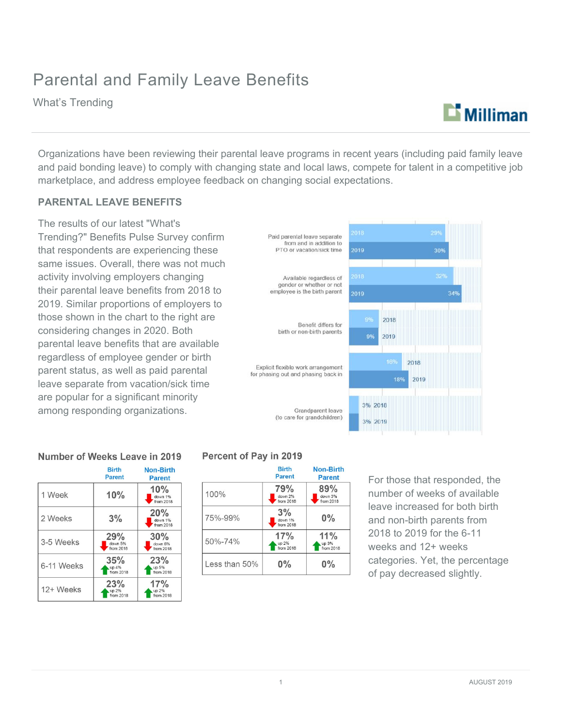## Parental and Family Leave Benefits

What's Trending

## $\mathbf{L}$  Milliman

Organizations have been reviewing their parental leave programs in recent years (including paid family leave and paid bonding leave) to comply with changing state and local laws, compete for talent in a competitive job marketplace, and address employee feedback on changing social expectations.

#### **PARENTAL LEAVE BENEFITS**

The results of our latest "What's Trending?" Benefits Pulse Survey confirm that respondents are experiencing these same issues. Overall, there was not much activity involving employers changing their parental leave benefits from 2018 to 2019. Similar proportions of employers to those shown in the chart to the right are considering changes in 2020. Both parental leave benefits that are available regardless of employee gender or birth parent status, as well as paid parental leave separate from vacation/sick time are popular for a significant minority among responding organizations.

# Benefit differs for birth or non-birth parents Explicit flexible work arrangement for phasing out and phasing back in Grandparent leave (to care for grandchildren) Percent of Pav in 2019



#### Number of Weeks Leave in 2019

|            | <b>Birth</b><br>Parent      | Non-Birth<br><b>Parent</b>  |
|------------|-----------------------------|-----------------------------|
| 1 Week     | 10%                         | 10%<br>down 1%<br>from 2018 |
| 2 Weeks    | 3%                          | 20%<br>down 1%<br>from 2018 |
| 3-5 Weeks  | 29%<br>down 5%<br>from 2018 | 30%<br>down 6%<br>from 2018 |
| 6-11 Weeks | 35%<br>up 4%<br>from 2018   | 23%<br>up 5%<br>from 2018   |
| 12+ Weeks  | 23%<br>up 2%<br>from 2018   | 17%<br>up 2%<br>from 2018   |

|               | <b>Birth</b><br><b>Parent</b> | Non-Birth<br><b>Parent</b>  |
|---------------|-------------------------------|-----------------------------|
| 100%          | 79%<br>down 2%<br>from 2018   | 89%<br>down 3%<br>from 2018 |
| 75%-99%       | 3%<br>down 1%<br>from 2018    | $0\%$                       |
| 50%-74%       | 17%<br>up 2%<br>from 2018     | 11%<br>up 3%<br>from 2018   |
| Less than 50% | $0\%$                         | $0\%$                       |

For those that responded, the number of weeks of available leave increased for both birth and non-birth parents from 2018 to 2019 for the 6-11 weeks and 12+ weeks categories. Yet, the percentage of pay decreased slightly.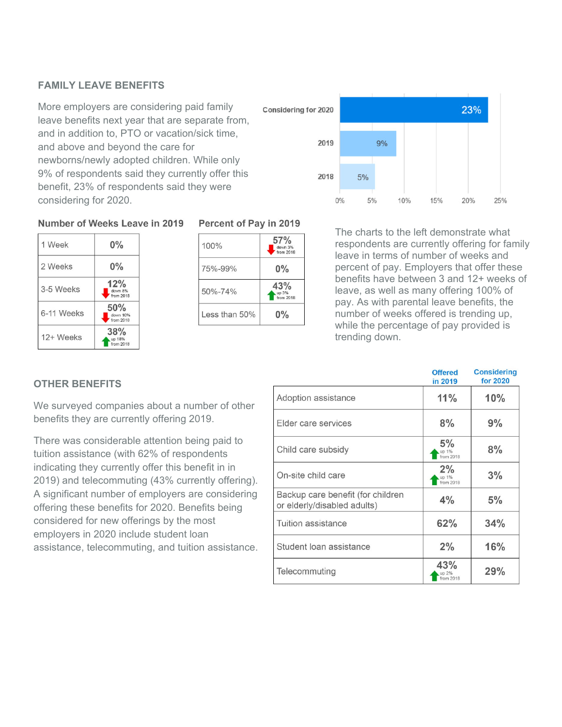### **FAMILY LEAVE BENEFITS**

More employers are considering paid family leave benefits next year that are separate from, and in addition to, PTO or vacation/sick time, and above and beyond the care for newborns/newly adopted children. While only 9% of respondents said they currently offer this benefit, 23% of respondents said they were considering for 2020.



#### Number of Weeks Leave in 2019



#### Percent of Pay in 2019

| 100%          | 57%<br>down 3%<br>from 2018 |
|---------------|-----------------------------|
| 75%-99%       | $0\%$                       |
| $50\% - 74\%$ | 43%<br>up 3%<br>from 2018   |
| Less than 50% | $0\%$                       |

The charts to the left demonstrate what respondents are currently offering for family leave in terms of number of weeks and percent of pay. Employers that offer these benefits have between 3 and 12+ weeks of leave, as well as many offering 100% of pay. As with parental leave benefits, the number of weeks offered is trending up, while the percentage of pay provided is trending down.

### **OTHER BENEFITS**

We surveyed companies about a number of other benefits they are currently offering 2019.

There was considerable attention being paid to tuition assistance (with 62% of respondents indicating they currently offer this benefit in in 2019) and telecommuting (43% currently offering). A significant number of employers are considering offering these benefits for 2020. Benefits being considered for new offerings by the most employers in 2020 include student loan assistance, telecommuting, and tuition assistance.

|                                                                  | <b>Offered</b><br>in 2019 | <b>Considering</b><br>for 2020 |
|------------------------------------------------------------------|---------------------------|--------------------------------|
| Adoption assistance                                              | 11%                       | 10%                            |
| Elder care services                                              | 8%                        | 9%                             |
| Child care subsidy                                               | 5%<br>up 1%<br>from 2018  | 8%                             |
| On-site child care                                               | 2%<br>up 1%<br>from 2018  | 3%                             |
| Backup care benefit (for children<br>or elderly/disabled adults) | 4%                        | 5%                             |
| Tuition assistance                                               | 62%                       | 34%                            |
| Student loan assistance                                          | 2%                        | 16%                            |
| Telecommuting                                                    | 43%<br>up 2%<br>from 2018 | 29%                            |